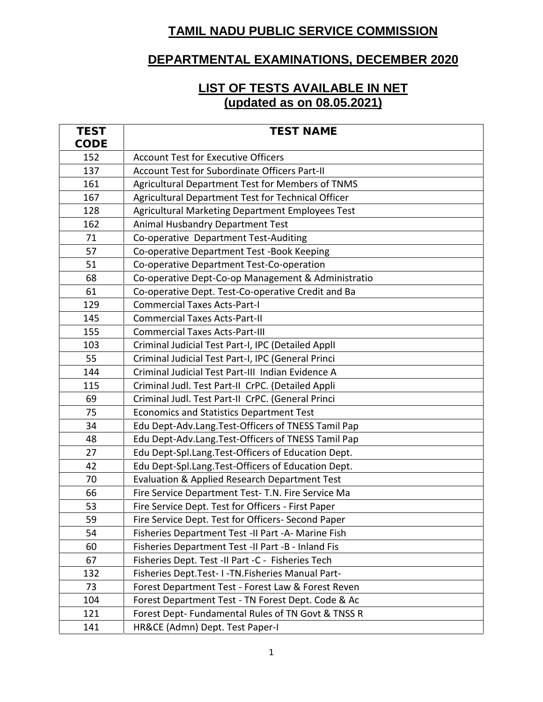## **TAMIL NADU PUBLIC SERVICE COMMISSION**

## **DEPARTMENTAL EXAMINATIONS, DECEMBER 2020**

## **LIST OF TESTS AVAILABLE IN NET (updated as on 08.05.2021)**

| <b>TEST</b> | <b>TEST NAME</b>                                   |
|-------------|----------------------------------------------------|
| CODE        |                                                    |
| 152         | <b>Account Test for Executive Officers</b>         |
| 137         | Account Test for Subordinate Officers Part-II      |
| 161         | Agricultural Department Test for Members of TNMS   |
| 167         | Agricultural Department Test for Technical Officer |
| 128         | Agricultural Marketing Department Employees Test   |
| 162         | Animal Husbandry Department Test                   |
| 71          | Co-operative Department Test-Auditing              |
| 57          | Co-operative Department Test -Book Keeping         |
| 51          | Co-operative Department Test-Co-operation          |
| 68          | Co-operative Dept-Co-op Management & Administratio |
| 61          | Co-operative Dept. Test-Co-operative Credit and Ba |
| 129         | <b>Commercial Taxes Acts-Part-I</b>                |
| 145         | <b>Commercial Taxes Acts-Part-II</b>               |
| 155         | <b>Commercial Taxes Acts-Part-III</b>              |
| 103         | Criminal Judicial Test Part-I, IPC (Detailed ApplI |
| 55          | Criminal Judicial Test Part-I, IPC (General Princi |
| 144         | Criminal Judicial Test Part-III Indian Evidence A  |
| 115         | Criminal Judl. Test Part-II CrPC. (Detailed Appli  |
| 69          | Criminal Judl. Test Part-II CrPC. (General Princi  |
| 75          | <b>Economics and Statistics Department Test</b>    |
| 34          | Edu Dept-Adv.Lang.Test-Officers of TNESS Tamil Pap |
| 48          | Edu Dept-Adv.Lang.Test-Officers of TNESS Tamil Pap |
| 27          | Edu Dept-Spl.Lang.Test-Officers of Education Dept. |
| 42          | Edu Dept-Spl.Lang.Test-Officers of Education Dept. |
| 70          | Evaluation & Applied Research Department Test      |
| 66          | Fire Service Department Test- T.N. Fire Service Ma |
| 53          | Fire Service Dept. Test for Officers - First Paper |
| 59          | Fire Service Dept. Test for Officers- Second Paper |
| 54          | Fisheries Department Test -II Part -A- Marine Fish |
| 60          | Fisheries Department Test -II Part -B - Inland Fis |
| 67          | Fisheries Dept. Test -II Part -C - Fisheries Tech  |
| 132         | Fisheries Dept. Test- I-TN. Fisheries Manual Part- |
| 73          | Forest Department Test - Forest Law & Forest Reven |
| 104         | Forest Department Test - TN Forest Dept. Code & Ac |
| 121         | Forest Dept-Fundamental Rules of TN Govt & TNSS R  |
| 141         | HR&CE (Admn) Dept. Test Paper-I                    |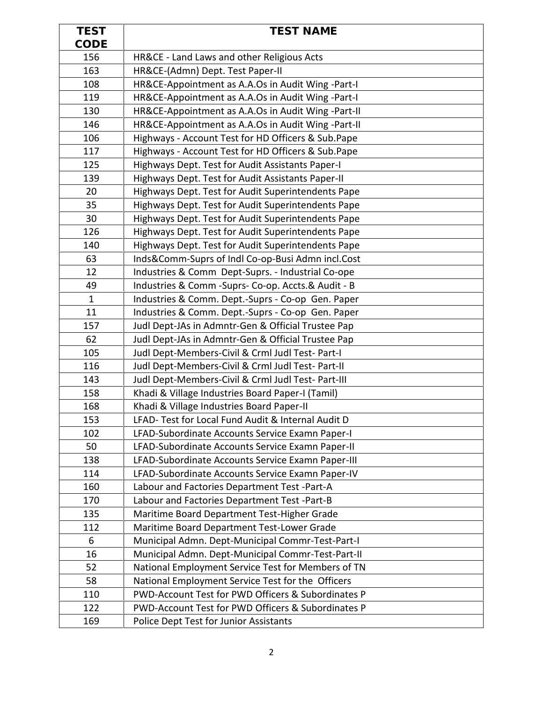| <b>TEST</b>  | <b>TEST NAME</b>                                    |
|--------------|-----------------------------------------------------|
| CODE         |                                                     |
| 156          | HR&CE - Land Laws and other Religious Acts          |
| 163          | HR&CE-(Admn) Dept. Test Paper-II                    |
| 108          | HR&CE-Appointment as A.A.Os in Audit Wing -Part-I   |
| 119          | HR&CE-Appointment as A.A.Os in Audit Wing -Part-I   |
| 130          | HR&CE-Appointment as A.A.Os in Audit Wing -Part-II  |
| 146          | HR&CE-Appointment as A.A.Os in Audit Wing -Part-II  |
| 106          | Highways - Account Test for HD Officers & Sub.Pape  |
| 117          | Highways - Account Test for HD Officers & Sub.Pape  |
| 125          | Highways Dept. Test for Audit Assistants Paper-I    |
| 139          | Highways Dept. Test for Audit Assistants Paper-II   |
| 20           | Highways Dept. Test for Audit Superintendents Pape  |
| 35           | Highways Dept. Test for Audit Superintendents Pape  |
| 30           | Highways Dept. Test for Audit Superintendents Pape  |
| 126          | Highways Dept. Test for Audit Superintendents Pape  |
| 140          | Highways Dept. Test for Audit Superintendents Pape  |
| 63           | Inds&Comm-Suprs of Indl Co-op-Busi Admn incl.Cost   |
| 12           | Industries & Comm Dept-Suprs. - Industrial Co-ope   |
| 49           | Industries & Comm - Suprs- Co-op. Accts.& Audit - B |
| $\mathbf{1}$ | Industries & Comm. Dept.-Suprs - Co-op Gen. Paper   |
| 11           | Industries & Comm. Dept.-Suprs - Co-op Gen. Paper   |
| 157          | Judl Dept-JAs in Admntr-Gen & Official Trustee Pap  |
| 62           | Judl Dept-JAs in Admntr-Gen & Official Trustee Pap  |
| 105          | Judl Dept-Members-Civil & Crml Judl Test- Part-I    |
| 116          | Judl Dept-Members-Civil & Crml Judl Test- Part-II   |
| 143          | Judl Dept-Members-Civil & Crml Judl Test- Part-III  |
| 158          | Khadi & Village Industries Board Paper-I (Tamil)    |
| 168          | Khadi & Village Industries Board Paper-II           |
| 153          | LFAD- Test for Local Fund Audit & Internal Audit D  |
| 102          | LFAD-Subordinate Accounts Service Examn Paper-I     |
| 50           | LFAD-Subordinate Accounts Service Examn Paper-II    |
| 138          | LFAD-Subordinate Accounts Service Examn Paper-III   |
| 114          | LFAD-Subordinate Accounts Service Examn Paper-IV    |
| 160          | Labour and Factories Department Test -Part-A        |
| 170          | Labour and Factories Department Test -Part-B        |
| 135          | Maritime Board Department Test-Higher Grade         |
| 112          | Maritime Board Department Test-Lower Grade          |
| 6            | Municipal Admn. Dept-Municipal Commr-Test-Part-I    |
| 16           | Municipal Admn. Dept-Municipal Commr-Test-Part-II   |
| 52           | National Employment Service Test for Members of TN  |
| 58           | National Employment Service Test for the Officers   |
| 110          | PWD-Account Test for PWD Officers & Subordinates P  |
| 122          | PWD-Account Test for PWD Officers & Subordinates P  |
| 169          | Police Dept Test for Junior Assistants              |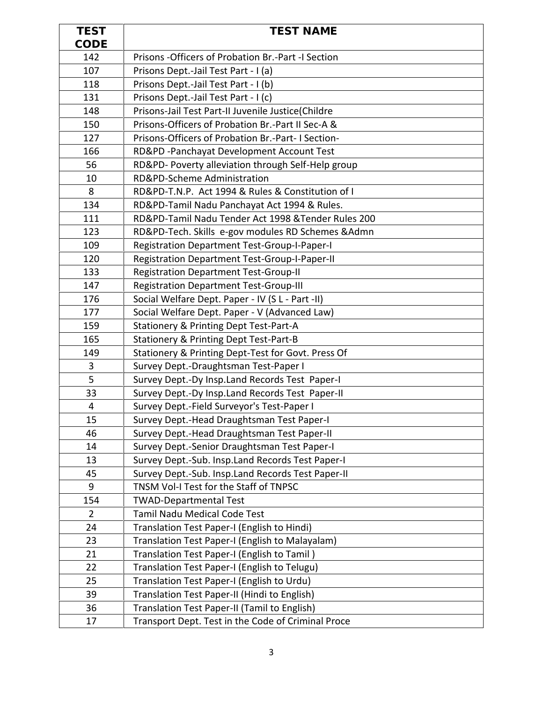| <b>TEST</b>    | <b>TEST NAME</b>                                                                           |
|----------------|--------------------------------------------------------------------------------------------|
| CODE           |                                                                                            |
| 142            | Prisons - Officers of Probation Br.-Part - I Section                                       |
| 107            | Prisons Dept.-Jail Test Part - I (a)                                                       |
| 118            | Prisons Dept.-Jail Test Part - I (b)                                                       |
| 131            | Prisons Dept.-Jail Test Part - I (c)                                                       |
| 148            | Prisons-Jail Test Part-II Juvenile Justice(Childre                                         |
| 150            | Prisons-Officers of Probation Br.-Part II Sec-A &                                          |
| 127            | Prisons-Officers of Probation Br.-Part-I Section-                                          |
| 166            | RD&PD -Panchayat Development Account Test                                                  |
| 56             | RD&PD- Poverty alleviation through Self-Help group                                         |
| 10             | RD&PD-Scheme Administration                                                                |
| 8              | RD&PD-T.N.P. Act 1994 & Rules & Constitution of I                                          |
| 134            | RD&PD-Tamil Nadu Panchayat Act 1994 & Rules.                                               |
| 111            | RD&PD-Tamil Nadu Tender Act 1998 & Tender Rules 200                                        |
| 123            | RD&PD-Tech. Skills e-gov modules RD Schemes &Admn                                          |
| 109            | Registration Department Test-Group-I-Paper-I                                               |
| 120            | Registration Department Test-Group-I-Paper-II                                              |
| 133            | <b>Registration Department Test-Group-II</b>                                               |
| 147            | <b>Registration Department Test-Group-III</b>                                              |
| 176            | Social Welfare Dept. Paper - IV (S L - Part -II)                                           |
| 177            | Social Welfare Dept. Paper - V (Advanced Law)                                              |
| 159            | Stationery & Printing Dept Test-Part-A                                                     |
| 165            | <b>Stationery &amp; Printing Dept Test-Part-B</b>                                          |
| 149            | Stationery & Printing Dept-Test for Govt. Press Of                                         |
| 3              | Survey Dept.-Draughtsman Test-Paper I                                                      |
| 5              | Survey Dept.-Dy Insp.Land Records Test Paper-I                                             |
| 33             | Survey Dept.-Dy Insp.Land Records Test Paper-II                                            |
| 4              | Survey Dept.-Field Surveyor's Test-Paper I                                                 |
| 15             | Survey Dept.-Head Draughtsman Test Paper-I                                                 |
| 46             | Survey Dept.-Head Draughtsman Test Paper-II                                                |
| 14             | Survey Dept.-Senior Draughtsman Test Paper-I                                               |
| 13             | Survey Dept.-Sub. Insp.Land Records Test Paper-I                                           |
| 45             | Survey Dept.-Sub. Insp.Land Records Test Paper-II                                          |
| 9              | TNSM Vol-I Test for the Staff of TNPSC                                                     |
| 154            | <b>TWAD-Departmental Test</b>                                                              |
| $\overline{2}$ | Tamil Nadu Medical Code Test                                                               |
| 24             | Translation Test Paper-I (English to Hindi)                                                |
| 23<br>21       | Translation Test Paper-I (English to Malayalam)                                            |
| 22             | Translation Test Paper-I (English to Tamil)                                                |
| 25             | Translation Test Paper-I (English to Telugu)<br>Translation Test Paper-I (English to Urdu) |
| 39             | Translation Test Paper-II (Hindi to English)                                               |
| 36             | Translation Test Paper-II (Tamil to English)                                               |
|                |                                                                                            |
| 17             | Transport Dept. Test in the Code of Criminal Proce                                         |